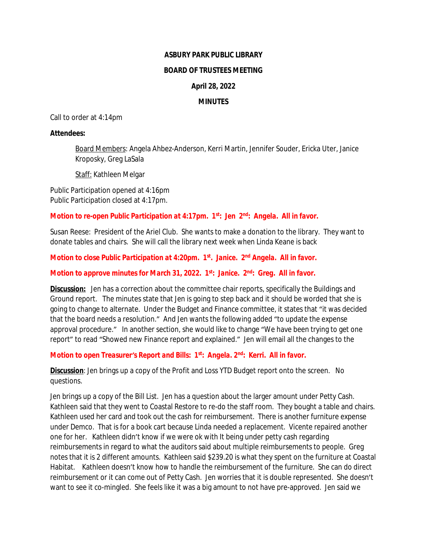#### **ASBURY PARK PUBLIC LIBRARY**

#### **BOARD OF TRUSTEES MEETING**

# **April 28, 2022**

#### **MINUTES**

Call to order at 4:14pm

#### **Attendees:**

Board Members: Angela Ahbez-Anderson, Kerri Martin, Jennifer Souder, Ericka Uter, Janice Kroposky, Greg LaSala

Staff: Kathleen Melgar

Public Participation opened at 4:16pm Public Participation closed at 4:17pm.

*Motion to re-open Public Participation at 4:17pm. 1st: Jen 2nd: Angela. All in favor.*

Susan Reese: President of the Ariel Club. She wants to make a donation to the library. They want to donate tables and chairs. She will call the library next week when Linda Keane is back

*Motion to close Public Participation at 4:20pm. 1st. Janice. 2nd Angela. All in favor.*

*Motion to approve minutes for March 31, 2022. 1st: Janice. 2nd: Greg. All in favor.*

**Discussion:** Jen has a correction about the committee chair reports, specifically the Buildings and Ground report. The minutes state that Jen is going to step back and it should be worded that she is going to change to alternate. Under the Budget and Finance committee, it states that "it was decided that the board needs a resolution." And Jen wants the following added "to update the expense approval procedure." In another section, she would like to change "We have been trying to get one report" to read "Showed new Finance report and explained." Jen will email all the changes to the

# *Motion to open Treasurer's Report and Bills: 1st: Angela. 2nd: Kerri. All in favor.*

**Discussion**: Jen brings up a copy of the Profit and Loss YTD Budget report onto the screen. No questions.

Jen brings up a copy of the Bill List. Jen has a question about the larger amount under Petty Cash. Kathleen said that they went to Coastal Restore to re-do the staff room. They bought a table and chairs. Kathleen used her card and took out the cash for reimbursement. There is another furniture expense under Demco. That is for a book cart because Linda needed a replacement. Vicente repaired another one for her. Kathleen didn't know if we were ok with It being under petty cash regarding reimbursements in regard to what the auditors said about multiple reimbursements to people. Greg notes that it is 2 different amounts. Kathleen said \$239.20 is what they spent on the furniture at Coastal Habitat. Kathleen doesn't know how to handle the reimbursement of the furniture. She can do direct reimbursement or it can come out of Petty Cash. Jen worries that it is double represented. She doesn't want to see it co-mingled. She feels like it was a big amount to not have pre-approved. Jen said we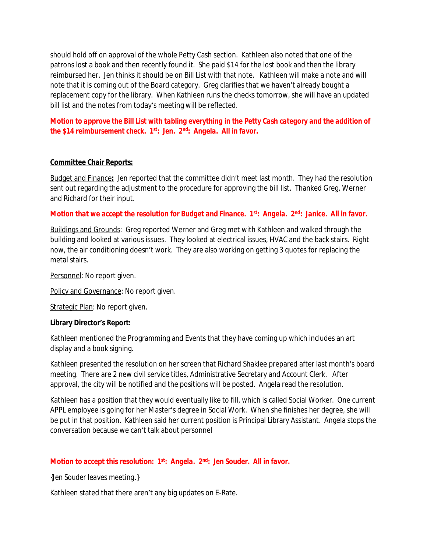should hold off on approval of the whole Petty Cash section. Kathleen also noted that one of the patrons lost a book and then recently found it. She paid \$14 for the lost book and then the library reimbursed her. Jen thinks it should be on Bill List with that note. Kathleen will make a note and will note that it is coming out of the Board category. Greg clarifies that we haven't already bought a replacement copy for the library. When Kathleen runs the checks tomorrow, she will have an updated bill list and the notes from today's meeting will be reflected.

*Motion to approve the Bill List with tabling everything in the Petty Cash category and the addition of the \$14 reimbursement check. 1st: Jen. 2nd: Angela. All in favor.*

# **Committee Chair Reports:**

Budget and Finance**:** Jen reported that the committee didn't meet last month. They had the resolution sent out regarding the adjustment to the procedure for approving the bill list. Thanked Greg, Werner and Richard for their input.

# *Motion that we accept the resolution for Budget and Finance. 1st: Angela. 2nd: Janice. All in favor.*

Buildings and Grounds: Greg reported Werner and Greg met with Kathleen and walked through the building and looked at various issues. They looked at electrical issues, HVAC and the back stairs. Right now, the air conditioning doesn't work. They are also working on getting 3 quotes for replacing the metal stairs.

Personnel: No report given.

Policy and Governance: No report given.

Strategic Plan: No report given.

#### **Library Director's Report:**

Kathleen mentioned the Programming and Events that they have coming up which includes an art display and a book signing.

Kathleen presented the resolution on her screen that Richard Shaklee prepared after last month's board meeting. There are 2 new civil service titles, Administrative Secretary and Account Clerk. After approval, the city will be notified and the positions will be posted. Angela read the resolution.

Kathleen has a position that they would eventually like to fill, which is called Social Worker. One current APPL employee is going for her Master's degree in Social Work. When she finishes her degree, she will be put in that position. Kathleen said her current position is Principal Library Assistant. Angela stops the conversation because we can't talk about personnel

# *Motion to accept this resolution: 1st: Angela. 2nd: Jen Souder. All in favor.*

*{Jen Souder leaves meeting.}*

Kathleen stated that there aren't any big updates on E-Rate.